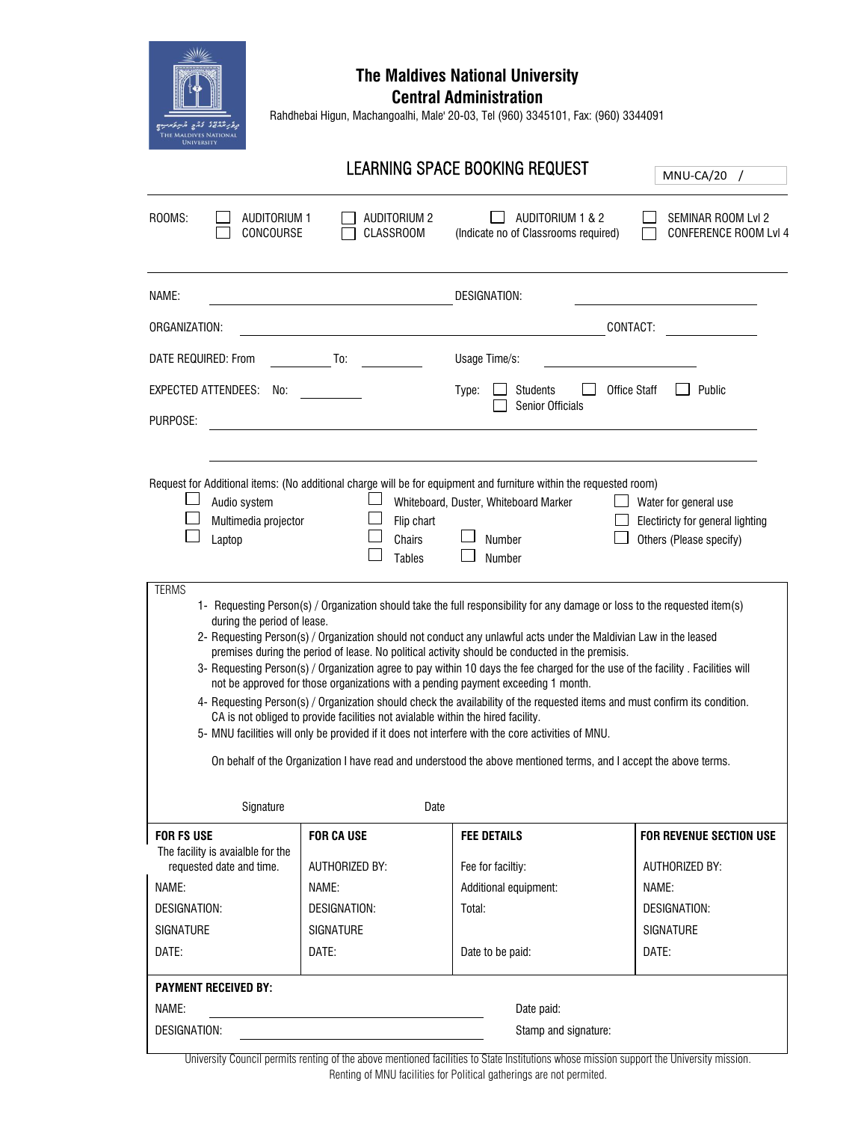

## **The Maldives National University**

**Central Administration**

Rahdhebai Higun, Machangoalhi, Male' 20-03, Tel (960) 3345101, Fax: (960) 3344091

|                                                                                                                                                                                                                                                                                                                                                                                                                                                                                                                                                                                                                                                                                                                                                                                                                                                                                                                                                                                                                                                                                              |                                         | LEARNING SPACE BOOKING REQUEST                                                                                                                                                  | MNU-CA/20                                                                            |  |
|----------------------------------------------------------------------------------------------------------------------------------------------------------------------------------------------------------------------------------------------------------------------------------------------------------------------------------------------------------------------------------------------------------------------------------------------------------------------------------------------------------------------------------------------------------------------------------------------------------------------------------------------------------------------------------------------------------------------------------------------------------------------------------------------------------------------------------------------------------------------------------------------------------------------------------------------------------------------------------------------------------------------------------------------------------------------------------------------|-----------------------------------------|---------------------------------------------------------------------------------------------------------------------------------------------------------------------------------|--------------------------------------------------------------------------------------|--|
| ROOMS:<br><b>AUDITORIUM 1</b><br>CONCOURSE                                                                                                                                                                                                                                                                                                                                                                                                                                                                                                                                                                                                                                                                                                                                                                                                                                                                                                                                                                                                                                                   | <b>AUDITORIUM 2</b><br><b>CLASSROOM</b> | AUDITORIUM 1 & 2<br>(Indicate no of Classrooms required)                                                                                                                        | SEMINAR ROOM Lvl 2<br><b>CONFERENCE ROOM Lvl 4</b>                                   |  |
| NAME:<br><b>DESIGNATION:</b>                                                                                                                                                                                                                                                                                                                                                                                                                                                                                                                                                                                                                                                                                                                                                                                                                                                                                                                                                                                                                                                                 |                                         |                                                                                                                                                                                 |                                                                                      |  |
| ORGANIZATION:                                                                                                                                                                                                                                                                                                                                                                                                                                                                                                                                                                                                                                                                                                                                                                                                                                                                                                                                                                                                                                                                                |                                         | CONTACT:                                                                                                                                                                        |                                                                                      |  |
| DATE REQUIRED: From                                                                                                                                                                                                                                                                                                                                                                                                                                                                                                                                                                                                                                                                                                                                                                                                                                                                                                                                                                                                                                                                          | To:                                     | Usage Time/s:                                                                                                                                                                   |                                                                                      |  |
| EXPECTED ATTENDEES:<br>No:<br>PURPOSE:                                                                                                                                                                                                                                                                                                                                                                                                                                                                                                                                                                                                                                                                                                                                                                                                                                                                                                                                                                                                                                                       |                                         | <b>Office Staff</b><br><b>Students</b><br>Public<br>Type:<br><b>Senior Officials</b>                                                                                            |                                                                                      |  |
| Audio system<br>Multimedia projector<br>Laptop                                                                                                                                                                                                                                                                                                                                                                                                                                                                                                                                                                                                                                                                                                                                                                                                                                                                                                                                                                                                                                               | Flip chart<br>Chairs<br><b>Tables</b>   | Request for Additional items: (No additional charge will be for equipment and furniture within the requested room)<br>Whiteboard, Duster, Whiteboard Marker<br>Number<br>Number | Water for general use<br>Electiricty for general lighting<br>Others (Please specify) |  |
| <b>TERMS</b><br>1- Requesting Person(s) / Organization should take the full responsibility for any damage or loss to the requested item(s)<br>during the period of lease.<br>2- Requesting Person(s) / Organization should not conduct any unlawful acts under the Maldivian Law in the leased<br>premises during the period of lease. No political activity should be conducted in the premisis.<br>3- Requesting Person(s) / Organization agree to pay within 10 days the fee charged for the use of the facility . Facilities will<br>not be approved for those organizations with a pending payment exceeding 1 month.<br>4- Requesting Person(s) / Organization should check the availability of the requested items and must confirm its condition.<br>CA is not obliged to provide facilities not avialable within the hired facility.<br>5- MNU facilities will only be provided if it does not interfere with the core activities of MNU.<br>On behalf of the Organization I have read and understood the above mentioned terms, and I accept the above terms.<br>Signature<br>Date |                                         |                                                                                                                                                                                 |                                                                                      |  |
| <b>FOR FS USE</b>                                                                                                                                                                                                                                                                                                                                                                                                                                                                                                                                                                                                                                                                                                                                                                                                                                                                                                                                                                                                                                                                            | <b>FOR CA USE</b>                       | <b>FEE DETAILS</b>                                                                                                                                                              | <b>FOR REVENUE SECTION USE</b>                                                       |  |
| The facility is avaialble for the<br>requested date and time.                                                                                                                                                                                                                                                                                                                                                                                                                                                                                                                                                                                                                                                                                                                                                                                                                                                                                                                                                                                                                                | AUTHORIZED BY:                          | Fee for faciltiy:                                                                                                                                                               | AUTHORIZED BY:                                                                       |  |
| NAME:                                                                                                                                                                                                                                                                                                                                                                                                                                                                                                                                                                                                                                                                                                                                                                                                                                                                                                                                                                                                                                                                                        | NAME:                                   | Additional equipment:                                                                                                                                                           | NAME:                                                                                |  |
| <b>DESIGNATION:</b>                                                                                                                                                                                                                                                                                                                                                                                                                                                                                                                                                                                                                                                                                                                                                                                                                                                                                                                                                                                                                                                                          | <b>DESIGNATION:</b>                     | Total:                                                                                                                                                                          | <b>DESIGNATION:</b>                                                                  |  |
| <b>SIGNATURE</b><br>DATE:                                                                                                                                                                                                                                                                                                                                                                                                                                                                                                                                                                                                                                                                                                                                                                                                                                                                                                                                                                                                                                                                    | <b>SIGNATURE</b><br>DATE:               | Date to be paid:                                                                                                                                                                | <b>SIGNATURE</b><br>DATE:                                                            |  |
|                                                                                                                                                                                                                                                                                                                                                                                                                                                                                                                                                                                                                                                                                                                                                                                                                                                                                                                                                                                                                                                                                              |                                         |                                                                                                                                                                                 |                                                                                      |  |
| <b>PAYMENT RECEIVED BY:</b>                                                                                                                                                                                                                                                                                                                                                                                                                                                                                                                                                                                                                                                                                                                                                                                                                                                                                                                                                                                                                                                                  |                                         |                                                                                                                                                                                 |                                                                                      |  |
| NAME:<br>Date paid:                                                                                                                                                                                                                                                                                                                                                                                                                                                                                                                                                                                                                                                                                                                                                                                                                                                                                                                                                                                                                                                                          |                                         |                                                                                                                                                                                 |                                                                                      |  |
| DESIGNATION:<br>Stamp and signature:                                                                                                                                                                                                                                                                                                                                                                                                                                                                                                                                                                                                                                                                                                                                                                                                                                                                                                                                                                                                                                                         |                                         |                                                                                                                                                                                 |                                                                                      |  |

University Council permits renting of the above mentioned facilities to State Institutions whose mission support the University mission. Renting of MNU facilities for Political gatherings are not permited.